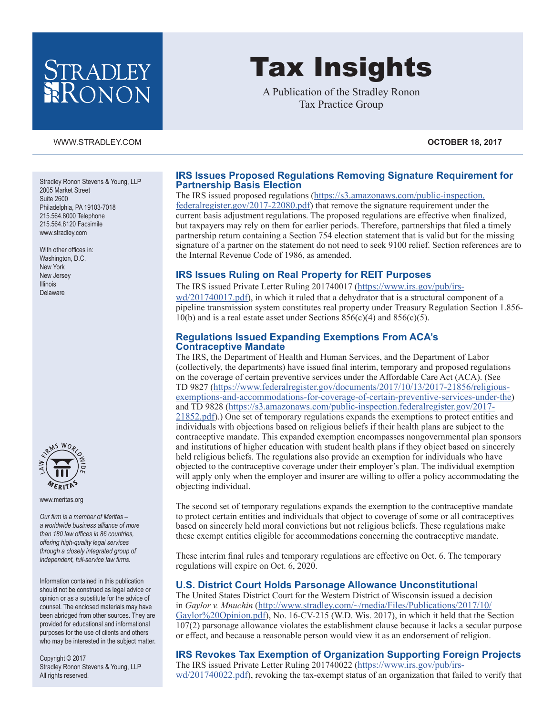# STRADLEY RONON

#### [WWW.STRADLEY.COM](www.stradley.com) **OCTOBER 18, 2017**

Stradley Ronon Stevens & Young, LLP 2005 Market Street Suite 2600 Philadelphia, PA 19103-7018 215.564.8000 Telephone 215.564.8120 Facsimile [www.stradley.com](http://www.stradley.com)

With other offices in: Washington, D.C. New York New Jersey Illinois Delaware



[www.meritas.org](http://www.meritas.org)

*Our firm is a member of Meritas – a worldwide business alliance of more than 180 law offices in 86 countries, offering high-quality legal services through a closely integrated group of independent, full-service law firms.*

Information contained in this publication should not be construed as legal advice or opinion or as a substitute for the advice of counsel. The enclosed materials may have been abridged from other sources. They are provided for educational and informational purposes for the use of clients and others who may be interested in the subject matter.

Copyright © 2017 Stradley Ronon Stevens & Young, LLP All rights reserved.

# Tax Insights

A Publication of the Stradley Ronon Tax Practice Group

# **IRS Issues Proposed Regulations Removing Signature Requirement for Partnership Basis Election**

The IRS issued proposed regulations ([https://s3.amazonaws.com/public-inspection.](https://s3.amazonaws.com/public-inspection.federalregister.gov/2017-22080.pdf) [federalregister.gov/2017-22080.pdf](https://s3.amazonaws.com/public-inspection.federalregister.gov/2017-22080.pdf)) that remove the signature requirement under the current basis adjustment regulations. The proposed regulations are effective when finalized, but taxpayers may rely on them for earlier periods. Therefore, partnerships that filed a timely partnership return containing a Section 754 election statement that is valid but for the missing signature of a partner on the statement do not need to seek 9100 relief. Section references are to the Internal Revenue Code of 1986, as amended.

# **IRS Issues Ruling on Real Property for REIT Purposes**

The IRS issued Private Letter Ruling 201740017 [\(https://www.irs.gov/pub/irs-](https://www.irs.gov/pub/irs-wd/201740017.pdf)

[wd/201740017.pdf](https://www.irs.gov/pub/irs-wd/201740017.pdf)), in which it ruled that a dehydrator that is a structural component of a pipeline transmission system constitutes real property under Treasury Regulation Section 1.856- 10(b) and is a real estate asset under Sections  $856(c)(4)$  and  $856(c)(5)$ .

## **Regulations Issued Expanding Exemptions From ACA's Contraceptive Mandate**

The IRS, the Department of Health and Human Services, and the Department of Labor (collectively, the departments) have issued final interim, temporary and proposed regulations on the coverage of certain preventive services under the Affordable Care Act (ACA). (See TD 9827 ([https://www.federalregister.gov/documents/2017/10/13/2017-21856/religious](https://www.federalregister.gov/documents/2017/10/13/2017-21856/religious-exemptions-and-accommodations-for-coverage-of-certain-preventive-services-under-the)[exemptions-and-accommodations-for-coverage-of-certain-preventive-services-under-the](https://www.federalregister.gov/documents/2017/10/13/2017-21856/religious-exemptions-and-accommodations-for-coverage-of-certain-preventive-services-under-the)) and TD 9828 ([https://s3.amazonaws.com/public-inspection.federalregister.gov/2017-](https://s3.amazonaws.com/public-inspection.federalregister.gov/2017-21852.pdf) [21852.pdf\)](https://s3.amazonaws.com/public-inspection.federalregister.gov/2017-21852.pdf).) One set of temporary regulations expands the exemptions to protect entities and individuals with objections based on religious beliefs if their health plans are subject to the contraceptive mandate. This expanded exemption encompasses nongovernmental plan sponsors and institutions of higher education with student health plans if they object based on sincerely held religious beliefs. The regulations also provide an exemption for individuals who have objected to the contraceptive coverage under their employer's plan. The individual exemption will apply only when the employer and insurer are willing to offer a policy accommodating the objecting individual.

The second set of temporary regulations expands the exemption to the contraceptive mandate to protect certain entities and individuals that object to coverage of some or all contraceptives based on sincerely held moral convictions but not religious beliefs. These regulations make these exempt entities eligible for accommodations concerning the contraceptive mandate.

These interim final rules and temporary regulations are effective on Oct. 6. The temporary regulations will expire on Oct. 6, 2020.

# **U.S. District Court Holds Parsonage Allowance Unconstitutional**

The United States District Court for the Western District of Wisconsin issued a decision in *Gaylor v. Mnuchin* ([http://www.stradley.com/~/media/Files/Publications/2017/10/](http://www.stradley.com/~/media/Files/Publications/2017/10/Gaylor%20Opinion.pdf) [Gaylor%20Opinion.pdf](http://www.stradley.com/~/media/Files/Publications/2017/10/Gaylor%20Opinion.pdf)), No. 16-CV-215 (W.D. Wis. 2017), in which it held that the Section 107(2) parsonage allowance violates the establishment clause because it lacks a secular purpose or effect, and because a reasonable person would view it as an endorsement of religion.

# **IRS Revokes Tax Exemption of Organization Supporting Foreign Projects**

The IRS issued Private Letter Ruling 201740022 [\(https://www.irs.gov/pub/irs](https://www.irs.gov/pub/irs-wd/201740022.pdf)[wd/201740022.pdf](https://www.irs.gov/pub/irs-wd/201740022.pdf)), revoking the tax-exempt status of an organization that failed to verify that